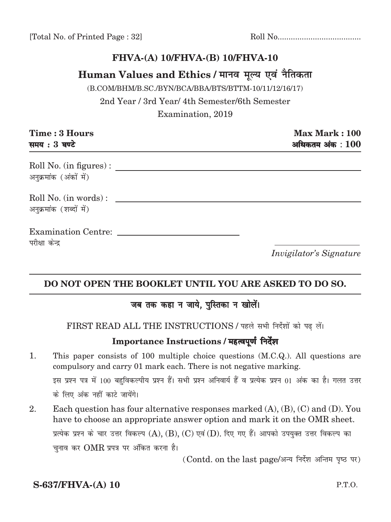### FHVA-(A) 10/FHVA-(B) 10/FHVA-10

### Human Values and Ethics / मानव मूल्य एवं नैतिकता

(B.COM/BHM/B.SC./BYN/BCA/BBA/BTS/BTTM-10/11/12/16/17)

2nd Year / 3rd Year/ 4th Semester/6th Semester Examination, 2019

| Time: 3 Hours<br>समय: 3 घण्टे                     | Max Mark: 100<br>अधिकतम $3$ अंक $100$ |
|---------------------------------------------------|---------------------------------------|
| Roll No. (in figures) :<br>अनुक्रमांक (अंकों में) |                                       |
| Roll No. (in words):<br>अनुक्रमांक (शब्दों में)   |                                       |
| <b>Examination Centre:</b><br>परीक्षा केन्द्र     |                                       |
|                                                   | <i>Invigilator's Signature</i>        |

### DO NOT OPEN THE BOOKLET UNTIL YOU ARE ASKED TO DO SO.

### जब तक कहा न जाये, पुस्तिका न खोलें।

FIRST READ ALL THE INSTRUCTIONS / पहले सभी निर्देशों को पढ़ लें।

### Importance Instructions / महत्वपूर्ण निर्देश

- 1. This paper consists of 100 multiple choice questions (M.C.Q.). All questions are compulsory and carry 01 mark each. There is not negative marking. इस प्रश्न पत्र में 100 बहुविकल्पीय प्रश्न हैं। सभी प्रश्न अनिवार्य हैं व प्रत्येक प्रश्न 01 अंक का है। गलत उत्तर के लिए अंक नहीं काटे जायेंगे।
- 2. Each question has four alternative responses marked  $(A)$ ,  $(B)$ ,  $(C)$  and  $(D)$ . You have to choose an appropriate answer option and mark it on the OMR sheet. प्रत्येक प्रश्न के चार उत्तर विकल्प  $(A)$ ,  $(B)$ ,  $(C)$  एवं  $(D)$ . दिए गए हैं। आपको उपयुक्त उत्तर विकल्प का चुनाव कर  $\rm OMR$  प्रपत्र पर अंकित करना है।

(Contd. on the last page/अन्य निर्देश अन्तिम पृष्ठ पर)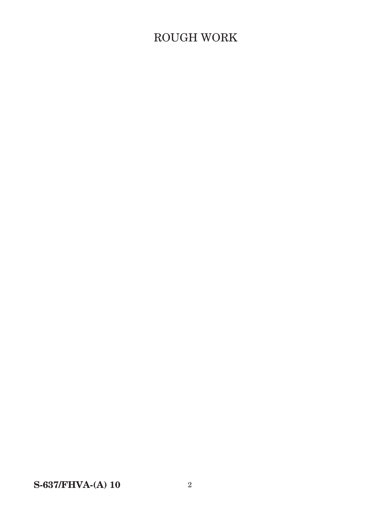# $\operatorname{ROUGH}$  WORK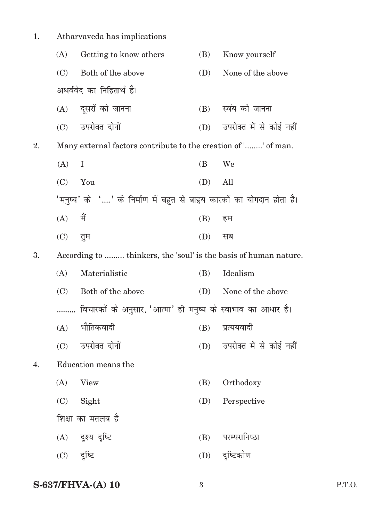| 1. |            | Atharvaveda has implications                                            |     |                             |
|----|------------|-------------------------------------------------------------------------|-----|-----------------------------|
|    | (A)        | Getting to know others                                                  | (B) | Know yourself               |
|    | (C)        | Both of the above                                                       | (D) | None of the above           |
|    |            | अथर्ववेद का निहितार्थ है।                                               |     |                             |
|    |            | (A) दूसरों को जानना                                                     | (B) | स्वंय को जानना              |
|    |            | (C) उपरोक्त दोनों                                                       |     | (D) उपरोक्त में से कोई नहीं |
| 2. |            | Many external factors contribute to the creation of '' of man.          |     |                             |
|    | (A)        | Ι                                                                       | (B  | We                          |
|    | (C)        | You                                                                     | (D) | All                         |
|    |            | 'मनुष्य' के '' के निर्माण में बहुत से बाह्र्य कारकों का योगदान होता है। |     |                             |
|    | (A)        | मैं                                                                     | (B) | हम                          |
|    | (C)        | तुम                                                                     | (D) | सब                          |
| 3. |            | According to  thinkers, the 'soul' is the basis of human nature.        |     |                             |
|    | (A)        | Materialistic                                                           | (B) | Idealism                    |
|    | (C)        | Both of the above                                                       | (D) | None of the above           |
|    | .          | विचारकों के अनुसार, 'आत्मा' ही मनुष्य के स्वाभाव का आधार है।            |     |                             |
|    |            | $(A)$ भौतिकवादी<br>(B) प्रत्ययवादी                                      |     |                             |
|    | (C)        | उपरोक्त दोनों                                                           |     | (D) उपरोक्त में से कोई नहीं |
| 4. |            | Education means the                                                     |     |                             |
|    | (A)        | <b>View</b>                                                             | (B) | Orthodoxy                   |
|    | (C)        | Sight                                                                   | (D) | Perspective                 |
|    |            | शिक्षा का मतलब है                                                       |     |                             |
|    |            | (A) दृश्य दृष्टि                                                        | (B) | परम्परानिष्ठा               |
|    | (C) दृष्टि |                                                                         | (D) | दृष्टिकोण                   |
|    |            |                                                                         |     |                             |

**S-637/FHVA-(A) 10** 3 P.T.O.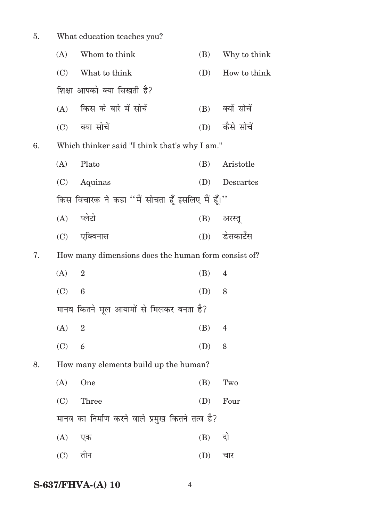5. What education teaches you? (A) Whom to think (B) Why to think (C) What to think (D) How to think शिक्षा आपको क्या सिखती है?  $(A)$  किस के बारे में सोचें  $(B)$  क्यों सोचें (C) क्या सोचें (D) कैसे सोचें 6. Which thinker said "I think that's why I am." (A) Plato (B) Aristotle (C) Aquinas (D) Descartes किस विचारक ने कहा "मैं सोचता हूँ इसलिए मैं हूँ।" (A) प्लेटो (B) अरस्तू (C) ,fDoukl (D) MsldkVsZl 7. How many dimensions does the human form consist of? (A) 2 (B) 4  $(C) 6$  (D) 8 मानव कितने मूल आयामों से मिलकर बनता है? (A) 2 (B) 4 (C) 6 (D) 8 8. How many elements build up the human?  $(A)$  One (B) Two (C) Three (D) Four मानव का निर्माण करने वाले प्रमुख कितने तत्व है? (A) एक (B) दो  $(C)$  तीन  $(D)$  चार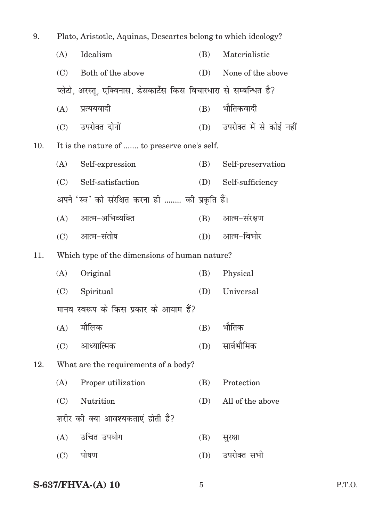| 9.  | Plato, Aristotle, Aquinas, Descartes belong to which ideology? |                                                                     |     |                             |
|-----|----------------------------------------------------------------|---------------------------------------------------------------------|-----|-----------------------------|
|     | (A)                                                            | Idealism                                                            | (B) | Materialistic               |
|     | (C)                                                            | Both of the above                                                   | (D) | None of the above           |
|     |                                                                | प्लेटो, अरस्तू, एक्विनास, डेसकार्टेस किस विचारधारा से सम्बन्धित है? |     |                             |
|     | (A)                                                            | प्रत्ययवादी                                                         | (B) | भौतिकवादी                   |
|     |                                                                | (C) उपरोक्त दोनों                                                   |     | (D) उपरोक्त में से कोई नहीं |
| 10. |                                                                | It is the nature of  to preserve one's self.                        |     |                             |
|     | (A)                                                            | Self-expression                                                     | (B) | Self-preservation           |
|     | (C)                                                            | Self-satisfaction                                                   | (D) | Self-sufficiency            |
|     |                                                                | अपने 'स्व' को संरक्षित करना ही …… की प्रकृति हैं।                   |     |                             |
|     | (A)                                                            | आत्म-अभिव्यक्ति                                                     | (B) | आत्म-संरक्षण                |
|     |                                                                | (C) आत्म-संतोष                                                      | (D) | आत्म-विभोर                  |
| 11. |                                                                | Which type of the dimensions of human nature?                       |     |                             |
|     | (A)                                                            | Original                                                            | (B) | Physical                    |
|     | (C)                                                            | Spiritual                                                           | (D) | Universal                   |
|     |                                                                | मानव स्वरूप के किस प्रकार के आयाम हैं?                              |     |                             |
|     |                                                                | $(A)$ मौलिक                                                         | (B) | भौतिक                       |
|     | (C)                                                            | आध्यात्मिक                                                          | (D) | सार्वभौमिक                  |
| 12. |                                                                | What are the requirements of a body?                                |     |                             |
|     | (A)                                                            | Proper utilization                                                  | (B) | Protection                  |
|     | (C)                                                            | Nutrition                                                           | (D) | All of the above            |
|     |                                                                | शरीर को क्या आवश्यकताएं होती है?                                    |     |                             |
|     | (A)                                                            | उचित उपयोग                                                          | (B) | सुरक्षा                     |
|     | (C)                                                            | पोषण                                                                | (D) | उपरोक्त सभी                 |
|     |                                                                |                                                                     |     |                             |

## **S-637/FHVA-(A) 10**

P.T.O.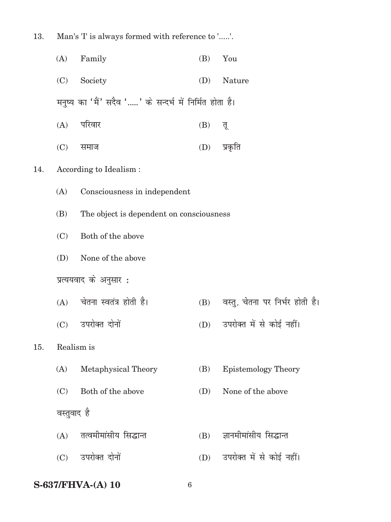| 13. | Man's 'I' is always formed with reference to ''. |                                                         |     |                            |  |
|-----|--------------------------------------------------|---------------------------------------------------------|-----|----------------------------|--|
|     | (A)                                              | Family                                                  | (B) | You                        |  |
|     | (C)                                              | Society                                                 | (D) | Nature                     |  |
|     |                                                  | मनुष्य का 'मैं' सदैव '' के सन्दर्भ में निर्मित होता है। |     |                            |  |
|     | (A)                                              | परिवार                                                  | (B) | तू                         |  |
|     | (C)                                              | समाज                                                    |     | (D) प्रकृति                |  |
| 14. |                                                  | According to Idealism:                                  |     |                            |  |
|     | (A)                                              | Consciousness in independent                            |     |                            |  |
|     | (B)                                              | The object is dependent on consciousness                |     |                            |  |
|     | (C)                                              | Both of the above                                       |     |                            |  |
|     | (D)                                              | None of the above                                       |     |                            |  |
|     |                                                  | प्रत्ययवाद के अनुसार :                                  |     |                            |  |
|     |                                                  | (A) चेतना स्वतंत्र होती है।                             | (B) | वस्तु, चेतना पर निर्भर हो  |  |
|     |                                                  | (C) उपरोक्त दोनों                                       | (D) | उपरोक्त में से कोई नहीं।   |  |
| 15. |                                                  | Realism is                                              |     |                            |  |
|     | (A)                                              | Metaphysical Theory                                     | (B) | <b>Epistemology Theory</b> |  |
|     | (C)                                              | Both of the above                                       | (D) | None of the above          |  |
|     | वस्तुवाद है                                      |                                                         |     |                            |  |
|     | (A)                                              | तत्वमीमांसीय सिद्धान्त                                  | (B) | ज्ञानमीमांसीय सिद्धान्त    |  |
|     |                                                  | (C) उपरोक्त दोनों                                       | (D) | उपरोक्त में से कोई नहीं।   |  |
|     |                                                  |                                                         |     |                            |  |

**S-637/FHVA-(A) 10** 

 $\,6\,$ 

होती है।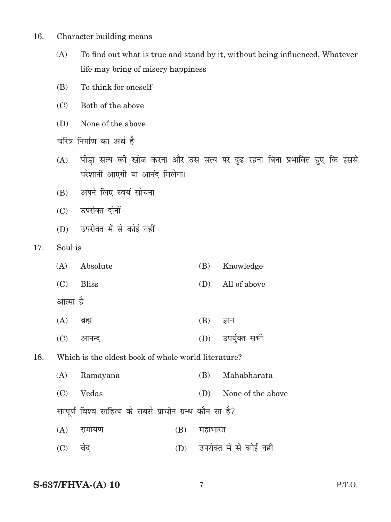- 16. Character building means
	- (A) To find out what is true and stand by it, without being influenced, Whatever life may bring of misery happiness
	- (B) To think for oneself
	- (C) Both of the above
	- (D) None of the above
	- चरित्र निर्माण का अर्थ है
	- (A) पीड़ा सत्य की खोज करना और उस सत्य पर दृढ रहना बिना प्रभावित हुए कि इससे परेशानी आएगी या आनंद मिलेगा।
	- (B) अपने लिए स्वयं सोचना
	- (C) उपरोक्त दोनों
	- (D) उपरोक्त में से कोई नहीं
- 17. Soul is

|     | (A)      | Absolute                                                 |     | (B)     | Knowledge               |
|-----|----------|----------------------------------------------------------|-----|---------|-------------------------|
|     | (C)      | <b>Bliss</b>                                             |     | (D)     | All of above            |
|     | आत्मा है |                                                          |     |         |                         |
|     | (A)      | ब्रह्म                                                   |     | (B)     | ज्ञान                   |
|     | (C)      | आनन्द                                                    |     | (D)     | उपर्युक्त सभी           |
| 18. |          | Which is the oldest book of whole world literature?      |     |         |                         |
|     | (A)      | Ramayana                                                 |     | (B)     | Mahabharata             |
|     | (C)      | Vedas                                                    |     | (D)     | None of the above       |
|     |          | सम्पूर्ण विश्व साहित्य के सबसे प्राचीन ग्रन्थ कौन सा है? |     |         |                         |
|     | (A)      | रामायण                                                   | (B) | महाभारत |                         |
|     | (C)      | वेद                                                      | (D) |         | उपरोक्त में से कोई नहीं |

#### **S-637/FHVA-(A) 10** 7 P.T.O.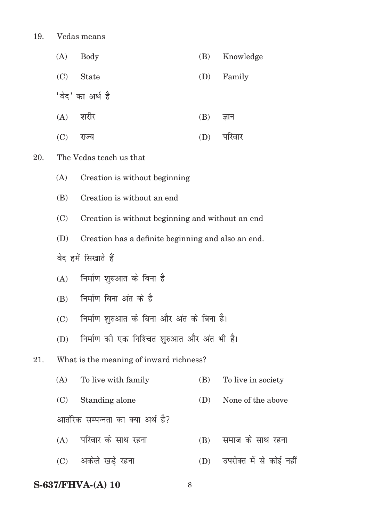$20.$ 

|     | (A) | <b>Body</b>                                        | (B) | Knowledge               |  |  |  |  |
|-----|-----|----------------------------------------------------|-----|-------------------------|--|--|--|--|
|     | (C) | <b>State</b>                                       | (D) | Family                  |  |  |  |  |
|     |     | 'वेद' का अर्थ है                                   |     |                         |  |  |  |  |
|     | (A) | शरीर                                               | (B) | ज्ञान                   |  |  |  |  |
|     | (C) | राज्य                                              | (D) | परिवार                  |  |  |  |  |
| 20. |     | The Vedas teach us that                            |     |                         |  |  |  |  |
|     | (A) | Creation is without beginning                      |     |                         |  |  |  |  |
|     | (B) | Creation is without an end                         |     |                         |  |  |  |  |
|     | (C) | Creation is without beginning and without an end   |     |                         |  |  |  |  |
|     | (D) | Creation has a definite beginning and also an end. |     |                         |  |  |  |  |
|     |     | वेद हमें सिखाते हैं                                |     |                         |  |  |  |  |
|     | (A) | निर्माण शुरुआत के बिना है                          |     |                         |  |  |  |  |
|     | (B) | निर्माण बिना अंत के है                             |     |                         |  |  |  |  |
|     | (C) | निर्माण शुरुआत के बिना और अंत के बिना है।          |     |                         |  |  |  |  |
|     | (D) | निर्माण की एक निश्चित शुरुआत और अंत भी है।         |     |                         |  |  |  |  |
| 21. |     | What is the meaning of inward richness?            |     |                         |  |  |  |  |
|     | (A) | To live with family                                | (B) | To live in society      |  |  |  |  |
|     | (C) | Standing alone                                     | (D) | None of the above       |  |  |  |  |
|     |     | आतंरिक सम्पन्नता का क्या अर्थ है?                  |     |                         |  |  |  |  |
|     | (A) | परिवार के साथ रहना                                 | (B) | समाज के साथ रहना        |  |  |  |  |
|     | (C) | अकेले खड़े रहना                                    | (D) | उपरोक्त में से कोई नहीं |  |  |  |  |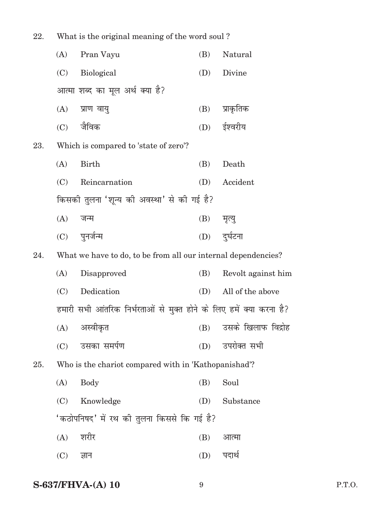| 22. | What is the original meaning of the word soul? |                                                                     |     |                        |
|-----|------------------------------------------------|---------------------------------------------------------------------|-----|------------------------|
|     | (A)                                            | Pran Vayu                                                           | (B) | Natural                |
|     | (C)                                            | <b>Biological</b>                                                   | (D) | Divine                 |
|     |                                                | आत्मा शब्द का मूल अर्थ क्या है?                                     |     |                        |
|     | (A)                                            | प्राण वायु                                                          | (B) | प्राकृतिक              |
|     |                                                | $(C)$ जैविक                                                         |     | (D) ईश्वरीय            |
| 23. |                                                | Which is compared to 'state of zero'?                               |     |                        |
|     | (A)                                            | <b>Birth</b>                                                        | (B) | Death                  |
|     | (C)                                            | Reincarnation                                                       | (D) | Accident               |
|     |                                                | किसकी तुलना 'शून्य की अवस्था' से की गई है?                          |     |                        |
|     | (A)                                            | जन्म                                                                | (B) | मृत्यु                 |
|     |                                                | (C) पुनर्जन्म                                                       | (D) | दुर्घटना               |
| 24. |                                                | What we have to do, to be from all our internal dependencies?       |     |                        |
|     | (A)                                            | Disapproved                                                         | (B) | Revolt against him     |
|     | (C)                                            | Dedication                                                          | (D) | All of the above       |
|     |                                                | हमारी सभी आंतरिक निर्भरताओं से मुक्त होने के लिए हमें क्या करना है? |     |                        |
|     |                                                | (A) अस्वीकृत                                                        |     | (B) उसके खिलाफ विद्रोह |
|     | (C)                                            | उसका समर्पण                                                         | (D) | उपरोक्त सभी            |
| 25. |                                                | Who is the chariot compared with in 'Kathopanishad'?                |     |                        |
|     | (A)                                            | <b>Body</b>                                                         | (B) | Soul                   |
|     | (C)                                            | Knowledge                                                           | (D) | Substance              |
|     |                                                | 'कठोपनिषद' में रथ की तुलना किससे कि गई है?                          |     |                        |
|     | (A)                                            | शरीर                                                                | (B) | आत्मा                  |
|     | (C)                                            | ज्ञान                                                               | (D) | पदार्थ                 |
|     |                                                |                                                                     |     |                        |

## **S-637/FHVA-(A) 10** 9 P.T.O.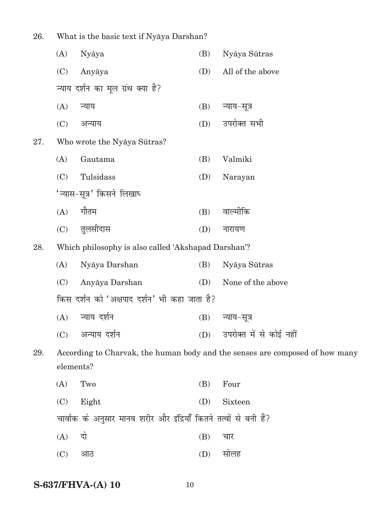26. What is the basic text if Nyāya Darshan?

|     | (A)       | Nyāya                                                             | (B) | Nyāya Sūtras                                                                 |
|-----|-----------|-------------------------------------------------------------------|-----|------------------------------------------------------------------------------|
|     | (C)       | Anyāya                                                            | (D) | All of the above                                                             |
|     |           | न्याय दर्शन का मूल ग्रंथ क्या है?                                 |     |                                                                              |
|     | (A)       | न्याय                                                             | (B) | न्याय–सूत्र                                                                  |
|     | (C)       | अन्याय                                                            | (D) | उपरोक्त सभी                                                                  |
| 27. |           | Who wrote the Nyaya Sūtras?                                       |     |                                                                              |
|     | (A)       | Gautama                                                           | (B) | Valmiki                                                                      |
|     | (C)       | Tulsidass                                                         | (D) | Narayan                                                                      |
|     |           | 'न्यास-सूत्र' किसने लिखाघ                                         |     |                                                                              |
|     | (A)       | गौतम                                                              | (B) | वाल्मीकि                                                                     |
|     | (C)       | तुलसीदास                                                          | (D) | नारायण                                                                       |
| 28. |           | Which philosophy is also called 'Akshapad Darshan'?               |     |                                                                              |
|     | (A)       | Nyāya Darshan                                                     | (B) | Nyāya Sūtras                                                                 |
|     | (C)       | Anyāya Darshan                                                    | (D) | None of the above                                                            |
|     |           | किस दर्शन को 'अक्षपाद दर्शन' भी कहा जाता है?                      |     |                                                                              |
|     | (A)       | न्याय दर्शन                                                       | (B) | न्याय-सूत्र                                                                  |
|     | (C)       | अन्याय दर्शन                                                      | (D) | उपरोक्त में से कोई नहीं                                                      |
| 29. |           |                                                                   |     | According to Charvak, the human body and the senses are composed of how many |
|     | elements? |                                                                   |     |                                                                              |
|     | (A)       | Two                                                               | (B) | Four                                                                         |
|     | (C)       | Eight                                                             | (D) | Sixteen                                                                      |
|     |           | चार्वाक के अनुसार मानव शरीर और इंद्रियाँ कितने तत्वों से बनी हैं? |     |                                                                              |
|     | (A)       | दो                                                                | (B) | चार                                                                          |
|     | (C)       | आठ                                                                | (D) | सोलह                                                                         |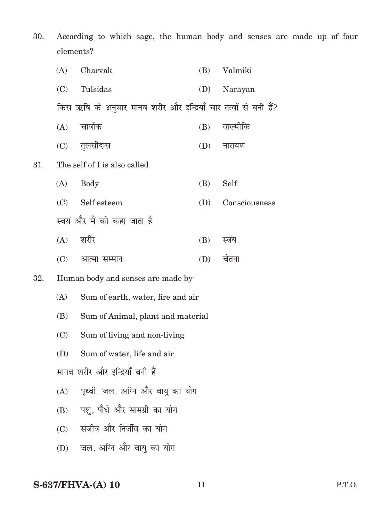30. According to which sage, the human body and senses are made up of four elements?

|     | (A) | Charvak                                                          | (B) | Valmiki       |
|-----|-----|------------------------------------------------------------------|-----|---------------|
|     | (C) | Tulsidas                                                         | (D) | Narayan       |
|     |     | किस ऋषि के अनुसार मानव शरीर और इन्द्रियाँ चार तत्वों से बनी हैं? |     |               |
|     |     | $(A)$ चार्वाक                                                    | (B) | वाल्मीकि      |
|     |     | (C) तुलसीदास                                                     |     | $(D)$ नारायण  |
| 31. |     | The self of I is also called                                     |     |               |
|     | (A) | Body                                                             | (B) | Self          |
|     |     | (C) Self esteem                                                  | (D) | Consciousness |
|     |     | स्वयं और मैं को कहा जाता है                                      |     |               |
|     |     | $(A)$ शरीर                                                       | (B) | स्वंय         |
|     |     | (C) आत्मा सम्मान                                                 | (D) | चेतना         |
|     |     |                                                                  |     |               |

#### 32. Human body and senses are made by

- (A) Sum of earth, water, fire and air
- (B) Sum of Animal, plant and material
- (C) Sum of living and non-living
- (D) Sum of water, life and air.

मानव शरीर और इन्द्रियाँ बनी हैं

- $(A)$  पृथ्वी, जल, अग्नि और वायु का योग
- (B) पशु, पौधे और सामग्री का योग
- $(C)$  सजीव और निर्जीव का योग
- (D) जल, अग्नि और वायु का योग

#### **S-637/FHVA-(A) 10** 11 P.T.O.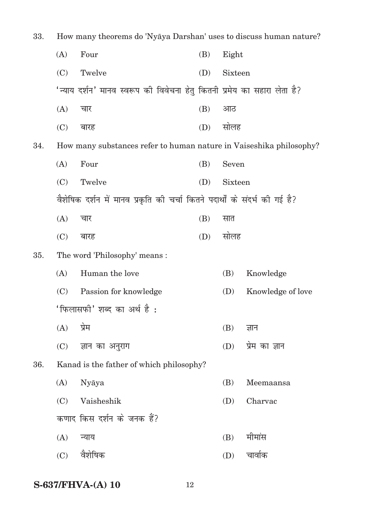| 33. | How many theorems do 'Nyaya Darshan' uses to discuss human nature? |                                                                            |     |         |                   |
|-----|--------------------------------------------------------------------|----------------------------------------------------------------------------|-----|---------|-------------------|
|     | (A)                                                                | Four                                                                       | (B) | Eight   |                   |
|     | (C)                                                                | Twelve                                                                     | (D) | Sixteen |                   |
|     |                                                                    | 'न्याय दर्शन' मानव स्वरूप की विवेचना हेतु कितनी प्रमेय का सहारा लेता है?   |     |         |                   |
|     | (A)                                                                | चार                                                                        | (B) | आठ      |                   |
|     | (C)                                                                | बारह                                                                       | (D) | सोलह    |                   |
| 34. |                                                                    | How many substances refer to human nature in Vaiseshika philosophy?        |     |         |                   |
|     | (A)                                                                | Four                                                                       | (B) | Seven   |                   |
|     | (C)                                                                | Twelve                                                                     | (D) | Sixteen |                   |
|     |                                                                    | वैशेषिक दर्शन में मानव प्रकृति की चर्चा कितने पदार्थों के संदर्भ की गई है? |     |         |                   |
|     | (A)                                                                | चार                                                                        | (B) | सात     |                   |
|     | (C)                                                                | बारह                                                                       | (D) | सोलह    |                   |
| 35. |                                                                    | The word 'Philosophy' means :                                              |     |         |                   |
|     | (A)                                                                | Human the love                                                             |     | (B)     | Knowledge         |
|     | (C)                                                                | Passion for knowledge                                                      |     | (D)     | Knowledge of love |
|     |                                                                    | 'फिलासफी' शब्द का अर्थ है :                                                |     |         |                   |
|     | (A)                                                                | प्रेम                                                                      |     | (B)     | ज्ञान             |
|     | (C)                                                                | ज्ञान का अनुराग                                                            |     | (D)     | प्रेम का ज्ञान    |
| 36. |                                                                    | Kanad is the father of which philosophy?                                   |     |         |                   |
|     | (A)                                                                | Nyāya                                                                      |     | (B)     | Meemaansa         |
|     | (C)                                                                | Vaisheshik                                                                 |     | (D)     | Charvac           |
|     |                                                                    | कणाद किस दर्शन के जनक हैं?                                                 |     |         |                   |
|     | (A)                                                                | न्याय                                                                      |     | (B)     | मीमांस            |
|     | (C)                                                                | वैशेषिक                                                                    |     | (D)     | चार्वाक           |
|     |                                                                    |                                                                            |     |         |                   |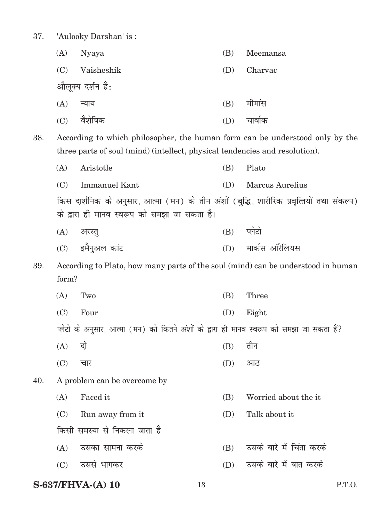37. 'Aulooky Darshan' is :

| (A) | Nyāya            | (B) | Meemansa |
|-----|------------------|-----|----------|
| (C) | Vaisheshik       | (D) | Charvac  |
|     | औलूक्य दर्शन है: |     |          |
| (A) | न्याय            | (B) | मीमांस   |
| (C) | वैशेषिक          | (D) | चावोक    |
|     |                  |     |          |

38. According to which philosopher, the human form can be understood only by the three parts of soul (mind) (intellect, physical tendencies and resolution).

|     | (A)                                                                                                                                       | Aristotle                                                                                 | (B) | Plato                    |  |  |  |
|-----|-------------------------------------------------------------------------------------------------------------------------------------------|-------------------------------------------------------------------------------------------|-----|--------------------------|--|--|--|
|     | (C)                                                                                                                                       | <b>Immanuel Kant</b>                                                                      | (D) | <b>Marcus Aurelius</b>   |  |  |  |
|     | किस दार्शनिक के अनुसार, आत्मा (मन) के तीन अंशों (बुद्धि, शारीरिक प्रवृत्तियों तथा संकल्प)<br>के द्वारा ही मानव स्वरूप को समझा जा सकता है। |                                                                                           |     |                          |  |  |  |
|     | (A)                                                                                                                                       | अरस्तु                                                                                    | (B) | प्लेटो                   |  |  |  |
|     | (C)                                                                                                                                       | इमैनुअल कांट                                                                              | (D) | मार्कस ऑरेलियस           |  |  |  |
| 39. | form?                                                                                                                                     | According to Plato, how many parts of the soul (mind) can be understood in human          |     |                          |  |  |  |
|     | (A)                                                                                                                                       | Two                                                                                       | (B) | Three                    |  |  |  |
|     | (C)                                                                                                                                       | Four                                                                                      | (D) | Eight                    |  |  |  |
|     |                                                                                                                                           | प्लेटो के अनुसार, आत्मा (मन) को कितने अंशों के द्वारा ही मानव स्वरूप को समझा जा सकता हैं? |     |                          |  |  |  |
|     | (A)                                                                                                                                       | दो                                                                                        | (B) | तीन                      |  |  |  |
|     | (C)                                                                                                                                       | चार                                                                                       | (D) | आठ                       |  |  |  |
| 40. |                                                                                                                                           | A problem can be overcome by                                                              |     |                          |  |  |  |
|     | (A)                                                                                                                                       | Faced it                                                                                  | (B) | Worried about the it     |  |  |  |
|     | (C)                                                                                                                                       | Run away from it                                                                          | (D) | Talk about it            |  |  |  |
|     |                                                                                                                                           | किसी समस्या से निकला जाता है                                                              |     |                          |  |  |  |
|     | (A)                                                                                                                                       | उसका सामना करके                                                                           | (B) | उसके बारे में चिंता करके |  |  |  |
|     | (C)                                                                                                                                       | उससे भागकर                                                                                | (D) | उसके बारे में बात करके   |  |  |  |
|     |                                                                                                                                           |                                                                                           |     |                          |  |  |  |

### **S-637/FHVA-(A) 10** 13 P.T.O.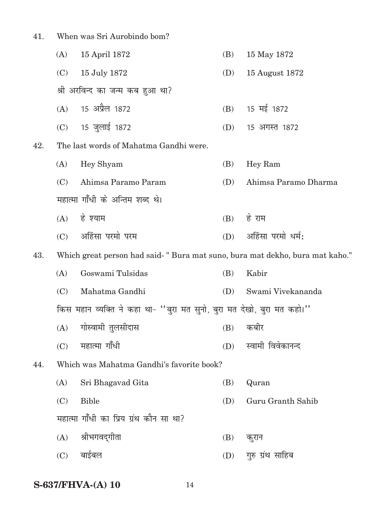41. When was Sri Aurobindo bom?

|     | (A) | 15 April 1872                                                                | (B) | 15 May 1872          |
|-----|-----|------------------------------------------------------------------------------|-----|----------------------|
|     | (C) | 15 July 1872                                                                 | (D) | 15 August 1872       |
|     |     | श्री अरविन्द का जन्म कब हुआ था?                                              |     |                      |
|     |     | (A) 15 अप्रैल 1872                                                           | (B) | 15 मई 1872           |
|     |     | (C) 15 जुलाई 1872                                                            | (D) | 15 अगस्त 1872        |
| 42. |     | The last words of Mahatma Gandhi were.                                       |     |                      |
|     | (A) | Hey Shyam                                                                    | (B) | Hey Ram              |
|     | (C) | Ahimsa Paramo Param                                                          | (D) | Ahimsa Paramo Dharma |
|     |     | महात्मा गाँधी के अन्तिम शब्द थे।                                             |     |                      |
|     |     | $(A)$ हे श्याम                                                               | (B) | हे राम               |
|     |     | (C) अहिंसा परमो परम                                                          | (D) | अहिंसा परमो धर्म:    |
| 43. |     | Which great person had said-" Bura mat suno, bura mat dekho, bura mat kaho." |     |                      |
|     | (A) | Goswami Tulsidas                                                             | (B) | Kabir                |
|     | (C) | Mahatma Gandhi                                                               | (D) | Swami Vivekananda    |
|     |     | किस महान व्यक्ति ने कहा था- ''बुरा मत सुनो, बुरा मत देखो, बुरा मत कहो।''     |     |                      |
|     | (A) | गोस्वामी तुलसीदास                                                            | (B) | कबीर                 |
|     | (C) | महात्मा गाँधी                                                                | (D) | स्वामी विवेकानन्द    |
| 44. |     | Which was Mahatma Gandhi's favorite book?                                    |     |                      |
|     | (A) | Sri Bhagavad Gita                                                            | (B) | Quran                |
|     | (C) | <b>Bible</b>                                                                 | (D) | Guru Granth Sahib    |
|     |     | महात्मा गाँधी का प्रिय ग्रंथ कौन सा था?                                      |     |                      |
|     | (A) | श्रीभगवद्गीता                                                                | (B) | कुरान                |
|     | (C) | बाईबल                                                                        | (D) | गुरु ग्रंथ साहिब     |
|     |     |                                                                              |     |                      |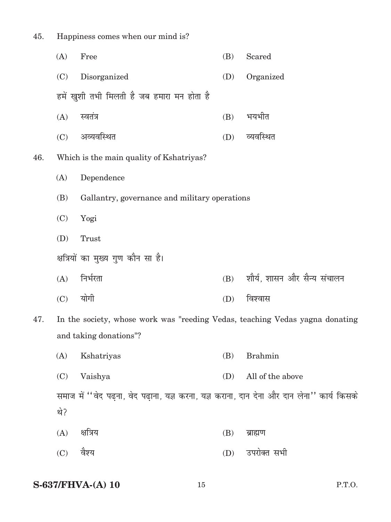| 45. | Happiness comes when our mind is? |                                                                                              |     |                             |  |
|-----|-----------------------------------|----------------------------------------------------------------------------------------------|-----|-----------------------------|--|
|     | (A)                               | Free                                                                                         | (B) | Scared                      |  |
|     | (C)                               | Disorganized                                                                                 | (D) | Organized                   |  |
|     |                                   | हमें खुशी तभी मिलती है जब हमारा मन होता है                                                   |     |                             |  |
|     | (A)                               | स्वतंत्र                                                                                     | (B) | भयभीत                       |  |
|     | (C)                               | अव्यवस्थित                                                                                   | (D) | व्यवस्थित                   |  |
| 46. |                                   | Which is the main quality of Kshatriyas?                                                     |     |                             |  |
|     | (A)                               | Dependence                                                                                   |     |                             |  |
|     | (B)                               | Gallantry, governance and military operations                                                |     |                             |  |
|     | (C)                               | Yogi                                                                                         |     |                             |  |
|     | (D)                               | Trust                                                                                        |     |                             |  |
|     |                                   | क्षत्रियों का मुख्य गुण कौन सा है।                                                           |     |                             |  |
|     | (A)                               | निर्भरता                                                                                     | (B) | शौर्य, शासन और सैन्य संचालन |  |
|     | (C)                               | योगी                                                                                         | (D) | विश्वास                     |  |
| 47. |                                   | In the society, whose work was "reeding Vedas, teaching Vedas yagna donating                 |     |                             |  |
|     |                                   | and taking donations"?                                                                       |     |                             |  |
|     | (A)                               | Kshatriyas                                                                                   | (B) | <b>Brahmin</b>              |  |
|     | (C)                               | Vaishya                                                                                      | (D) | All of the above            |  |
|     |                                   | समाज में ''वेद पढ़ना, वेद पढ़ा़ना, यज्ञ करना, यज्ञ कराना, दान देना और दान लेना'' कार्य किसके |     |                             |  |
|     | थे?                               |                                                                                              |     |                             |  |
|     | (A)                               | क्षत्रिय                                                                                     | (B) | ब्राह्मण                    |  |
|     | (C)                               | वैश्य                                                                                        | (D) | उपरोक्त सभी                 |  |
|     |                                   |                                                                                              |     |                             |  |

## **S-637/FHVA-(A) 10** 15 P.T.O.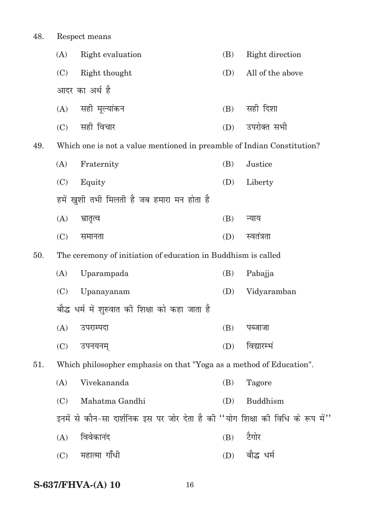48. Respect means (A) Right evaluation (B) Right direction (C) Right thought (D) All of the above आदर का अर्थ है  $(A)$  सही मुल्यांकन (B) सही दिशा (C) lgh fopkj (D) mijksDr lHkh 49. Which one is not a value mentioned in preamble of Indian Constitution? (A) Fraternity (B) Justice (C) Equity (D) Liberty हमें खुशी तभी मिलती है जब हमारा मन होता है (A) Hkzkr`Ro (B) U;k; (C) lekurk (D) Lora=krk 50. The ceremony of initiation of education in Buddhism is called (A) Uparampada (B) Pabajja (C) Upanayanam (D) Vidyaramban बौद्ध धर्म में शरुवात की शिक्षा को कहा जाता है  $(A)$  उपराम्पदा (B) पब्जाजा (C) miu;ue~ (D) fo|kjEHka 51. Which philosopher emphasis on that "Yoga as a method of Education". (A) Vivekananda (B) Tagore (C) Mahatma Gandhi (D) Buddhism इनमें से कौन-सा दार्शनिक इस पर जोर देता है की "योग शिक्षा की विधि के रूप में"  $(A)$  विवेकानंद  $(B)$  टैगोर (C) egkRek xk¡/h (D) ckS¼ /eZ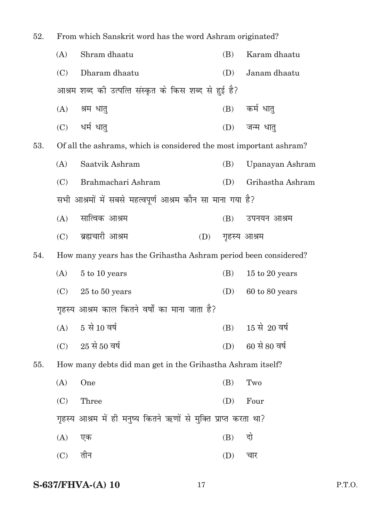| 52. | From which Sanskrit word has the word Ashram originated?        |                                                                    |     |              |                   |  |  |
|-----|-----------------------------------------------------------------|--------------------------------------------------------------------|-----|--------------|-------------------|--|--|
|     | (A)                                                             | Shram dhaatu                                                       |     | (B)          | Karam dhaatu      |  |  |
|     | (C)                                                             | Dharam dhaatu                                                      |     | (D)          | Janam dhaatu      |  |  |
|     |                                                                 | आश्रम शब्द को उत्पत्ति संस्कृत के किस शब्द से हुई है?              |     |              |                   |  |  |
|     | (A)                                                             | श्रम धात्                                                          |     |              | (B) कर्म धात्     |  |  |
|     |                                                                 | (C) धर्म धात्                                                      |     | (D)          | जन्म धात्         |  |  |
| 53. |                                                                 | Of all the ashrams, which is considered the most important ashram? |     |              |                   |  |  |
|     | (A)                                                             | Saatvik Ashram                                                     |     | (B)          | Upanayan Ashram   |  |  |
|     | (C)                                                             | Brahmachari Ashram                                                 |     | (D)          | Grihastha Ashram  |  |  |
|     | सभी आश्रमों में सबसे महत्वपूर्ण आश्रम कौन सा माना गया है?       |                                                                    |     |              |                   |  |  |
|     |                                                                 | (A) सात्विक आश्रम                                                  |     | (B)          | उपनयन आश्रम       |  |  |
|     |                                                                 | (C) ब्रह्मचारी आश्रम                                               | (D) | गृहस्य आश्रम |                   |  |  |
| 54. | How many years has the Grihastha Ashram period been considered? |                                                                    |     |              |                   |  |  |
|     | (A)                                                             | 5 to 10 years                                                      |     | (B)          | 15 to 20 years    |  |  |
|     | (C)                                                             | $25$ to $50$ years                                                 |     | (D)          | 60 to 80 years    |  |  |
|     | गृहस्य आश्रम काल कितने वर्षों का माना जाता है?                  |                                                                    |     |              |                   |  |  |
|     |                                                                 | $(A)$ 5 से 10 वर्ष                                                 |     |              | (B) 15 से 20 वर्ष |  |  |
|     | (C)                                                             | $25$ से 50 वर्ष                                                    |     | (D)          | 60 से 80 वर्ष     |  |  |
| 55. |                                                                 | How many debts did man get in the Grihastha Ashram itself?         |     |              |                   |  |  |
|     | (A)                                                             | One                                                                |     | (B)          | Two               |  |  |
|     | (C)                                                             | Three                                                              |     | (D)          | Four              |  |  |
|     |                                                                 | गृहस्य आश्रम में ही मनुष्य कितने ऋणों से मुक्ति प्राप्त करता था?   |     |              |                   |  |  |
|     | (A)                                                             | एक                                                                 |     | (B)          | दो                |  |  |
|     | (C)                                                             | तीन                                                                |     | (D)          | चार               |  |  |
|     |                                                                 |                                                                    |     |              |                   |  |  |

## **S-637/FHVA-(A) 10** 17 P.T.O.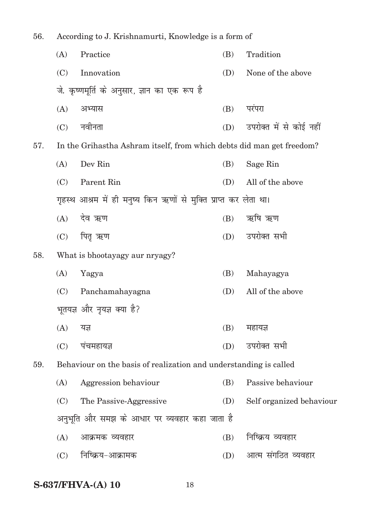| 56.<br>According to J. Krishnamurti, Knowledge is a form of |     |                                                                       |     |                          |
|-------------------------------------------------------------|-----|-----------------------------------------------------------------------|-----|--------------------------|
|                                                             | (A) | Practice                                                              | (B) | Tradition                |
|                                                             | (C) | Innovation                                                            | (D) | None of the above        |
|                                                             |     | जे. कृष्णमूर्ति के अनुसार, ज्ञान का एक रूप है                         |     |                          |
|                                                             | (A) | अभ्यास                                                                | (B) | परंपरा                   |
|                                                             | (C) | नवीनता                                                                | (D) | उपरोक्त में से कोई नहीं  |
| 57.                                                         |     | In the Grihastha Ashram itself, from which debts did man get freedom? |     |                          |
|                                                             | (A) | Dev Rin                                                               | (B) | Sage Rin                 |
|                                                             | (C) | Parent Rin                                                            | (D) | All of the above         |
|                                                             |     | गृहस्थ आश्रम में ही मनुष्य किन ऋणों से मुक्ति प्राप्त कर लेता था।     |     |                          |
|                                                             | (A) | देव ऋण                                                                | (B) | ऋषि ऋण                   |
|                                                             | (C) | पितृ ऋण                                                               | (D) | उपरोक्त सभी              |
| 58.                                                         |     | What is bhootayagy aur nryagy?                                        |     |                          |
|                                                             | (A) | Yagya                                                                 | (B) | Mahayagya                |
|                                                             | (C) | Panchamahayagna                                                       | (D) | All of the above         |
|                                                             |     | भूतयज्ञ और नृयज्ञ क्या है?                                            |     |                          |
|                                                             | (A) | यज्ञ                                                                  | (B) | महायज्ञ                  |
|                                                             | (C) | पंचमहायज्ञ                                                            | (D) | उपरोक्त सभी              |
| 59.                                                         |     | Behaviour on the basis of realization and understanding is called     |     |                          |
|                                                             | (A) | Aggression behaviour                                                  | (B) | Passive behaviour        |
|                                                             | (C) | The Passive-Aggressive                                                | (D) | Self organized behaviour |
|                                                             |     | अनुभूति और समझ के आधार पर व्यवहार कहा जाता है                         |     |                          |
|                                                             | (A) | आक्रमक व्यवहार                                                        | (B) | निष्क्रिय व्यवहार        |
|                                                             | (C) | निष्क्रिय-आक्रामक                                                     | (D) | आत्म संगठित व्यवहार      |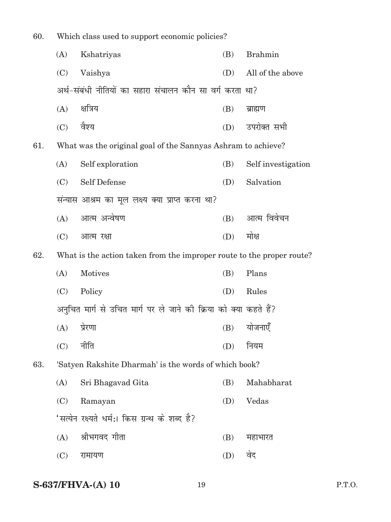| 60. | Which class used to support economic policies?                    |                                                                       |     |                    |  |  |  |
|-----|-------------------------------------------------------------------|-----------------------------------------------------------------------|-----|--------------------|--|--|--|
|     | (A)                                                               | Kshatriyas                                                            | (B) | <b>Brahmin</b>     |  |  |  |
|     | (C)                                                               | Vaishya                                                               | (D) | All of the above   |  |  |  |
|     | अर्थ-संबंधी नीतियों का सहारा संचालन कौन सा वर्ग करता था?          |                                                                       |     |                    |  |  |  |
|     | (A)                                                               | क्षत्रिय                                                              | (B) | ब्राह्मण           |  |  |  |
|     | (C) वैश्य                                                         |                                                                       | (D) | उपरोक्त सभी        |  |  |  |
| 61. |                                                                   | What was the original goal of the Sannyas Ashram to achieve?          |     |                    |  |  |  |
|     | (A)                                                               | Self exploration                                                      | (B) | Self investigation |  |  |  |
|     | (C)                                                               | <b>Self Defense</b>                                                   | (D) | Salvation          |  |  |  |
|     |                                                                   | संन्यास आश्रम का मूल लक्ष्य क्या प्राप्त करना था?                     |     |                    |  |  |  |
|     | (A)                                                               | आत्म अन्वेषण                                                          | (B) | आत्म विवेचन        |  |  |  |
|     | (C)                                                               | आत्म रक्षा                                                            | (D) | मोक्ष              |  |  |  |
| 62. |                                                                   | What is the action taken from the improper route to the proper route? |     |                    |  |  |  |
|     | (A)                                                               | <b>Motives</b>                                                        | (B) | Plans              |  |  |  |
|     | (C)                                                               | Policy                                                                | (D) | Rules              |  |  |  |
|     | अनुचित मार्ग से उचित मार्ग पर ले जाने की क्रिया को क्या कहते हैं? |                                                                       |     |                    |  |  |  |
|     | $(A)$ प्रेरणा                                                     |                                                                       |     | $(B)$ योजनाएँ      |  |  |  |
|     | (C)                                                               | नीति                                                                  | (D) | नियम               |  |  |  |
| 63. |                                                                   | 'Satyen Rakshite Dharmah' is the words of which book?                 |     |                    |  |  |  |
|     | (A)                                                               | Sri Bhagavad Gita                                                     | (B) | Mahabharat         |  |  |  |
|     | (C)                                                               | Ramayan                                                               | (D) | Vedas              |  |  |  |
|     |                                                                   | 'सत्येन रक्ष्यते धर्म:। किस ग्रन्थ के शब्द है?                        |     |                    |  |  |  |
|     | (A)                                                               | श्रीभगवद गीता                                                         | (B) | महाभारत            |  |  |  |
|     | (C)                                                               | रामायण                                                                | (D) | वेद                |  |  |  |
|     |                                                                   |                                                                       |     |                    |  |  |  |

## **S-637/FHVA-(A) 10** 19 P.T.O.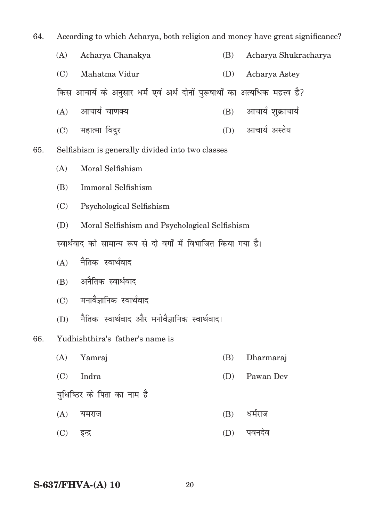64. According to which Acharya, both religion and money have great significance? (A) Acharya Chanakya (B) Acharya Shukracharya (C) Mahatma Vidur (D) Acharya Astey किस आचार्य के अनुसार धर्म एवं अर्थ दोनों पुरूषार्थों का अत्यधिक महत्त्व है?  $(A)$  आचार्य चाणक्य (B) आचार्य शुक्राचार्य (C) महात्मा विदुर (D) आचार्य अस्तेय 65. Selfishism is generally divided into two classes (A) moral Selfishism (B) Immoral Selfishism (C) psychological Selfishism (D) moral Selfishism and psychological Selfishism स्वार्थवाद को सामान्य रूप से दो वर्गों में विभाजित किया गया है।  $(A)$  नैतिक स्वार्थवाद (B) अनैतिक स्वार्थवाद (C) मनावैज्ञानिक स्वार्थवाद (D) नैतिक स्वार्थवाद और मनोवैज्ञानिक स्वार्थवाद। 66. Yudhishthira's father's name is (A) Yamraj (B) Dharmaraj (C) Indra (D) Pawan Dev यधिष्ठिर के पिता का नाम है  $(A)$  यमराज  $(B)$  धर्मराज

(C) bUnz (D) iounso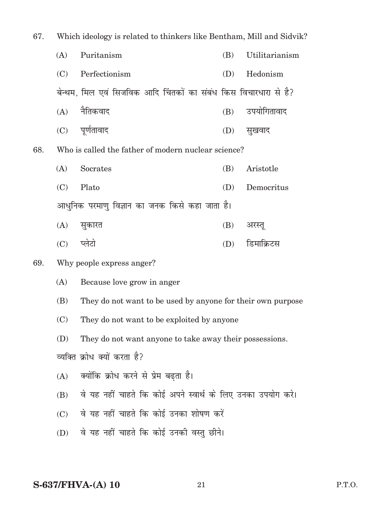| 67. | Which ideology is related to thinkers like Bentham, Mill and Sidvik? |                                                                  |     |                |  |  |
|-----|----------------------------------------------------------------------|------------------------------------------------------------------|-----|----------------|--|--|
|     | (A)                                                                  | Puritanism                                                       | (B) | Utilitarianism |  |  |
|     | (C)                                                                  | Perfectionism                                                    | (D) | Hedonism       |  |  |
|     |                                                                      | बेन्थम, मिल एवं सिजविक आदि चिंतकों का संबंध किस विचारधारा से है? |     |                |  |  |
|     | (A)                                                                  | नैतिकवाद                                                         | (B) | उपयोगितावाद    |  |  |
|     |                                                                      | (C) पूर्णतावाद                                                   | (D) | सुखवाद         |  |  |
| 68. |                                                                      | Who is called the father of modern nuclear science?              |     |                |  |  |
|     | (A)                                                                  | Socrates                                                         | (B) | Aristotle      |  |  |
|     | (C)                                                                  | Plato                                                            | (D) | Democritus     |  |  |
|     | आधुनिक परमाणु विज्ञान का जनक किसे कहा जाता है।                       |                                                                  |     |                |  |  |
|     | (A)                                                                  | सुकारत                                                           | (B) | अरस्तू         |  |  |
|     | (C)                                                                  | प्लेटो                                                           | (D) | डिमाक्रिटस     |  |  |
| 69. |                                                                      | Why people express anger?                                        |     |                |  |  |
|     | (A)                                                                  | Because love grow in anger                                       |     |                |  |  |
|     | (B)                                                                  | They do not want to be used by anyone for their own purpose      |     |                |  |  |
|     | (C)                                                                  | They do not want to be exploited by anyone                       |     |                |  |  |
|     | (D)                                                                  | They do not want anyone to take away their possessions.          |     |                |  |  |
|     | व्यक्ति क्रोध क्यों करता है?                                         |                                                                  |     |                |  |  |
|     | (A)                                                                  | क्योंकि क्रोध करने से प्रेम बढ़ता है।                            |     |                |  |  |
|     | (B)                                                                  | वे यह नहीं चाहते कि कोई अपने स्वार्थ के लिए उनका उपयोग करे।      |     |                |  |  |
|     | वे यह नहीं चाहते कि कोई उनका शोषण करें<br>(C)                        |                                                                  |     |                |  |  |
|     | (D)                                                                  | वे यह नहीं चाहते कि कोई उनकी वस्तु छीने।                         |     |                |  |  |
|     |                                                                      |                                                                  |     |                |  |  |

**S-637/FHVA-(A) 10** 21 P.T.O.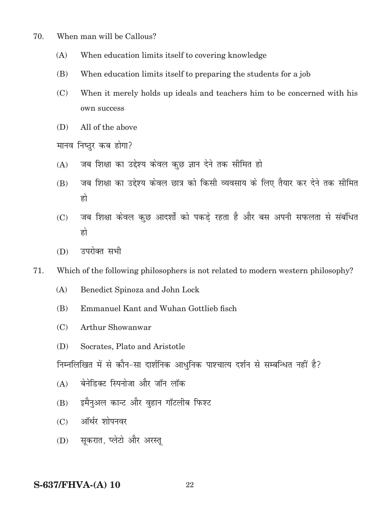- 70. When man will be Callous?
	- (A) When education limits itself to covering knowledge
	- (B) When education limits itself to preparing the students for a job
	- (C) When it merely holds up ideals and teachers him to be concerned with his own success
	- (D) All of the above

मानव निष्ठर कब होगा?

- $(A)$  जब शिक्षा का उद्देश्य केवल कछ ज्ञान देने तक सीमित हो
- (B) जब शिक्षा का उद्देश्य केवल छात्र को किसी व्यवसाय के लिए तैयार कर देने तक सीमित हो
- (C) जब शिक्षा केवल कुछ आदर्शों को पकडे रहता है और बस अपनी सफलता से संबंधित हो
- $(D)$  उपरोक्त सभी
- 71. Which of the following philosophers is not related to modern western philosophy?
	- (A) Benedict Spinoza and John Lock
	- (B) Emmanuel Kant and Wuhan Gottlieb fisch
	- (C) Arthur Showanwar
	- (D) Socrates, Plato and Aristotle

निम्नलिखित में से कौन-सा दार्शनिक आधुनिक पाश्चात्य दर्शन से सम्बन्धित नहीं है?

- $(A)$  वेनेडिक्ट स्पिनोजा और जॉन लॉक
- (B) इमैनुअल कान्ट और वृहान गॉटलीब फिश्ट
- (C) ऑर्थर शोपनवर
- (D) सकरात, प्लेटो और अरस्त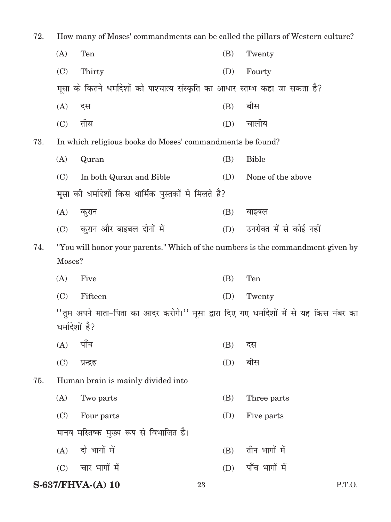| 72.<br>How many of Moses' commandments can be called the pillars of Western culture? |        |                                                                                                            |     |  |                         |
|--------------------------------------------------------------------------------------|--------|------------------------------------------------------------------------------------------------------------|-----|--|-------------------------|
|                                                                                      | (A)    | Ten                                                                                                        | (B) |  | Twenty                  |
|                                                                                      | (C)    | Thirty                                                                                                     | (D) |  | Fourty                  |
|                                                                                      |        | मूसा के कितने धर्मादेशों को पाश्चात्य संस्कृति का आधार स्तम्भ कहा जा सकता है?                              |     |  |                         |
|                                                                                      | (A)    | दस                                                                                                         | (B) |  | बीस                     |
|                                                                                      | (C)    | तीस                                                                                                        | (D) |  | चालीय                   |
| 73.                                                                                  |        | In which religious books do Moses' commandments be found?                                                  |     |  |                         |
|                                                                                      | (A)    | Quran                                                                                                      | (B) |  | <b>Bible</b>            |
|                                                                                      | (C)    | In both Quran and Bible                                                                                    | (D) |  | None of the above       |
|                                                                                      |        | मूसा की धर्मादेशों किस धार्मिक पुस्तकों में मिलते है?                                                      |     |  |                         |
|                                                                                      | (A)    | कुरान                                                                                                      | (B) |  | बाइबल                   |
|                                                                                      | (C)    | कुरान और बाइबल दोनों में                                                                                   | (D) |  | उनरोक्त में से कोई नहीं |
| 74.                                                                                  |        | "You will honor your parents." Which of the numbers is the commandment given by                            |     |  |                         |
|                                                                                      | Moses? |                                                                                                            |     |  |                         |
|                                                                                      | (A)    | Five                                                                                                       | (B) |  | Ten                     |
|                                                                                      | (C)    | Fifteen                                                                                                    | (D) |  | Twenty                  |
|                                                                                      |        | ''तुम अपने माता-पिता का आदर करोगे।'' मूसा द्वारा दिए गए धर्मादेशों में से यह किस नंबर का<br>धर्मादेशों है? |     |  |                         |
|                                                                                      | (A)    | पाँच                                                                                                       | (B) |  | दस                      |
|                                                                                      | (C)    | प्रन्द्रह                                                                                                  | (D) |  | बीस                     |
| 75.                                                                                  |        | Human brain is mainly divided into                                                                         |     |  |                         |
|                                                                                      | (A)    | Two parts                                                                                                  | (B) |  | Three parts             |
|                                                                                      | (C)    | Four parts                                                                                                 | (D) |  | Five parts              |
|                                                                                      |        | मानव मस्तिष्क मुख्य रूप से विभाजित है।                                                                     |     |  |                         |
|                                                                                      | (A)    | दो भागों में                                                                                               | (B) |  | तीन भागों में           |
|                                                                                      | (C)    | चार भागों में                                                                                              | (D) |  | पाँच भागों में          |
|                                                                                      |        | $S-637/FHVA-(A)$ 10                                                                                        | 23  |  | P.T.O.                  |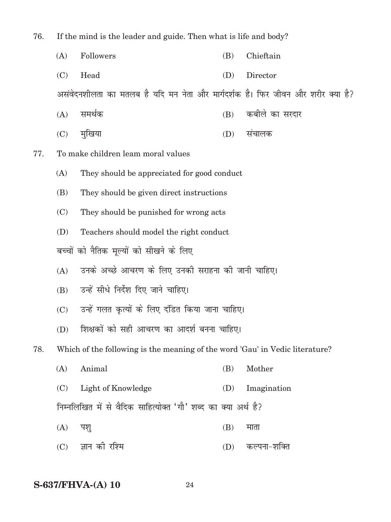76. If the mind is the leader and guide. Then what is life and body?

- (A) Followers (B) Chieftain
- (C) Head (D) Director

असंवेदनशीलता का मतलब है यदि मन नेता और मार्गदर्शक है। फिर जीवन और शरीर क्या है?

- $(A)$  समर्थक  $(B)$  कबीले का सरदार
- (C) eqf[k;k (D) lapkyd
- 77. To make children leam moral values
	- (A) They should be appreciated for good conduct
	- (B) They should be given direct instructions
	- (C) They should be punished for wrong acts
	- (D) Teachers should model the right conduct

बच्चों को नैतिक मूल्यों को सीखने के लिए

- (A) जनके अच्छे आचरण के लिए उनकी सराहना की जानी चाहिए।
- (B) उन्हें सीधे निर्देश दिए जाने चाहिए।
- (C) उन्हें गलत कृत्यों के लिए दंडित किया जाना चाहिए।
- (D) शिक्षकों को सही आचरण का आदर्श बनना चाहिए।

78. Which of the following is the meaning of the word 'Gau' in Vedic literature?

- (A) Animal (B) Mother
- (C) Light of Knowledge (D) Imagination
- निम्नलिखित में से वैदिक साहित्योक्त 'गौ' शब्द का क्या अर्थ है?
- $(A)$  पशु (B) माता
- (C) Kku dh jf'e (D) dYiuk&'kfDr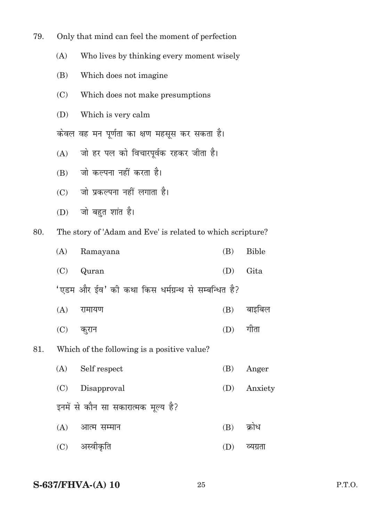79. Only that mind can feel the moment of perfection

(A) Who lives by thinking every moment wisely

- (B) Which does not imagine
- (C) Which does not make presumptions
- (D) Which is very calm

केवल वह मन पूर्णता का क्षण महसूस कर सकता है।

- (A) जो हर पल को विचारपूर्वक रहकर जीता है।
- $(B)$  जो कल्पना नहीं करता है।
- (C) जो प्रकल्पना नहीं लगाता है।
- $(D)$  जो बहुत शांत है।

80. The story of 'Adam and Eve' is related to which scripture?

| (A) Ramayana | (B) Bible |
|--------------|-----------|
| $(C)$ Quran  | (D) Gita  |

- 'एडम और ईव' की कथा किस धर्मग्रन्थ से सम्बन्धित है?
- $(A)$  रामायण  $(B)$  बाइबिल
- (C) dqjku (D) xhrk
- 81. Which of the following is a positive value?
	- (A) Self respect (B) Anger (C) Disapproval (D) Anxiety इनमें से कौन सा सकारात्मक मूल्य है?
	- $(A)$  आत्म सम्मान (B) क्रोध
	- (C) vLohÑfr (D) O;xzrk

#### **S-637/FHVA-(A) 10** 25 P.T.O.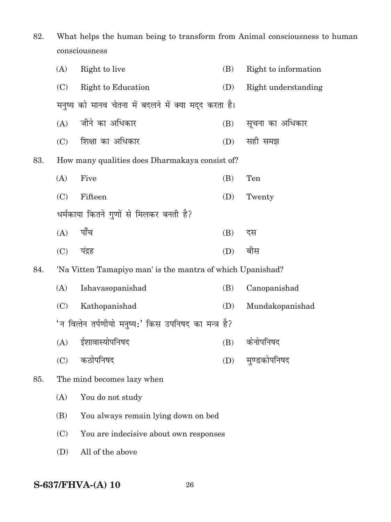82. What helps the human being to transform from Animal consciousness to human consciousness

|     | (A)                                                   | Right to live                                              | (B) | Right to information |  |  |  |  |
|-----|-------------------------------------------------------|------------------------------------------------------------|-----|----------------------|--|--|--|--|
|     | (C)                                                   | Right to Education                                         | (D) | Right understanding  |  |  |  |  |
|     |                                                       | मनुष्य को मानव चेतना में बदलने में क्या मद्द करता है।      |     |                      |  |  |  |  |
|     | (A)                                                   | जीने का अधिकार                                             | (B) | सूचना का अधिकार      |  |  |  |  |
|     | (C)                                                   | शिक्षा का अधिकार                                           | (D) | सही समझ              |  |  |  |  |
| 83. |                                                       | How many qualities does Dharmakaya consist of?             |     |                      |  |  |  |  |
|     | (A)                                                   | Five                                                       | (B) | Ten                  |  |  |  |  |
|     | (C)                                                   | Fifteen                                                    | (D) | Twenty               |  |  |  |  |
|     |                                                       | धर्मकाया कितने गुणों से मिलकर बनती है?                     |     |                      |  |  |  |  |
|     | (A)                                                   | पाँच                                                       | (B) | दस                   |  |  |  |  |
|     | (C)                                                   | पंद्रह                                                     | (D) | बीस                  |  |  |  |  |
| 84. |                                                       | 'Na Vitten Tamapiyo man' is the mantra of which Upanishad? |     |                      |  |  |  |  |
|     | (A)                                                   | Ishavasopanishad                                           | (B) | Canopanishad         |  |  |  |  |
|     | (C)                                                   | Kathopanishad                                              | (D) | Mundakopanishad      |  |  |  |  |
|     | 'न वित्तेन तर्पणीयो मनुष्य:' किस उपनिषद का मन्त्र है? |                                                            |     |                      |  |  |  |  |
|     | (A)                                                   | ईशावास्योपनिषद                                             | (B) | केनोपनिषद            |  |  |  |  |
|     |                                                       | (C) कठोपनिषद                                               |     | (D) मुण्डकोपनिषद     |  |  |  |  |
| 85. |                                                       | The mind becomes lazy when                                 |     |                      |  |  |  |  |
|     | (A)                                                   | You do not study                                           |     |                      |  |  |  |  |
|     | (B)                                                   | You always remain lying down on bed                        |     |                      |  |  |  |  |
|     | (C)                                                   | You are indecisive about own responses                     |     |                      |  |  |  |  |
|     | (D)                                                   | All of the above                                           |     |                      |  |  |  |  |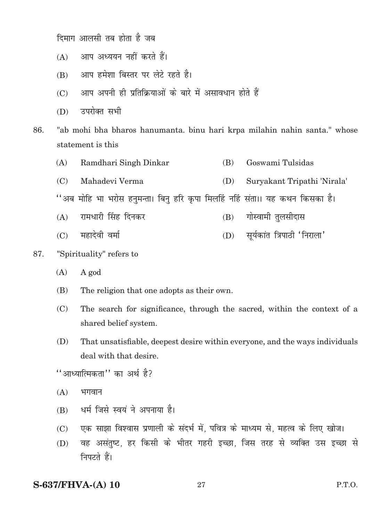दिमाग आलसी तब होता है जब

- (A) आप अध्ययन नहीं करते हैं।
- (B) आप हमेशा बिस्तर पर लेटे रहते है।
- $(C)$  अाप अपनी ही प्रतिक्रियाओं के बारे में असावधान होते हैं
- (D) उपरोक्त सभी
- 86. "ab mohi bha bharos hanumanta. binu hari krpa milahin nahin santa." whose statement is this
	- (A) Ramdhari Singh Dinkar (B) Goswami Tulsidas
	- (C) Mahadevi Verma (D) Suryakant Tripathi 'Nirala'

''अब मोहि भा भरोस हनुमन्ता। बिनु हरि कृपा मिलहिं नहिं संता।। यह कथन किसका है।

- $(A)$  रामधारी सिंह दिनकर  $(B)$  गोस्वामी तुलसीदास
- $(C)$  महादेवी वर्मा (D) सूर्यकांत त्रिपाठी 'निराला'
- 87. "Spirituality" refers to
	- (A) A god
	- (B) The religion that one adopts as their own.
	- (C) The search for significance, through the sacred, within the context of a shared belief system.
	- (D) That unsatisfiable, deepest desire within everyone, and the ways individuals deal with that desire.

 $^{\prime\prime}$  आध्यात्मिकता $^{\prime\prime}$  का अर्थ है?

- $(A)$  भगवान
- $(B)$  धर्म जिसे स्वयं ने अपनाया है।
- (C) , एक साझा विश्वास प्रणाली के संदर्भ में, पवित्र के माध्यम से, महत्व के लिए खोज।
- (D) वह असंतुष्ट, हर किसी के भीतर गहरी इच्छा, जिस तरह से व्यक्ति उस इच्छा से निपटते हैं।

**S-637/FHVA-(A) 10** 27 P.T.O.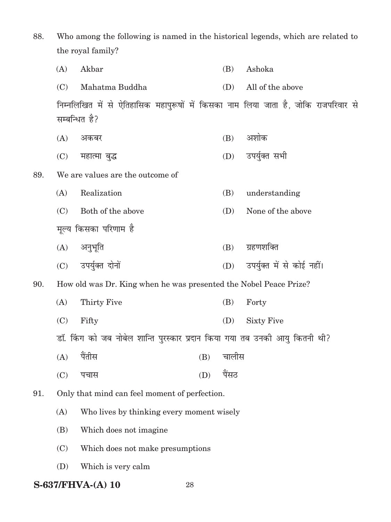88. Who among the following is named in the historical legends, which are related to the royal family?

|     | (A) | Akbar                                                                               |     | (B)         | Ashoka                     |
|-----|-----|-------------------------------------------------------------------------------------|-----|-------------|----------------------------|
|     | (C) | Mahatma Buddha                                                                      |     | (D)         | All of the above           |
|     |     | निम्नलिखित में से ऐतिहासिक महापुरूषों में किसका नाम लिया जाता है, जोकि राजपरिवार से |     |             |                            |
|     |     | सम्बन्धित है?                                                                       |     |             |                            |
|     | (A) | अकबर                                                                                |     | (B)         | अशोक                       |
|     | (C) | महात्मा बुद्ध                                                                       |     | (D)         | उपर्युक्त सभी              |
| 89. |     | We are values are the outcome of                                                    |     |             |                            |
|     | (A) | Realization                                                                         |     | (B)         | understanding              |
|     | (C) | Both of the above                                                                   |     | (D)         | None of the above          |
|     |     | मूल्य किसका परिणाम है                                                               |     |             |                            |
|     | (A) | अनुभूति                                                                             |     | (B)         | ग्रहणशक्ति                 |
|     | (C) | उपर्युक्त दोनों                                                                     |     | (D)         | उपर्युक्त में से कोई नहीं। |
| 90. |     | How old was Dr. King when he was presented the Nobel Peace Prize?                   |     |             |                            |
|     | (A) | Thirty Five                                                                         |     | (B)         | Forty                      |
|     | (C) | Fifty                                                                               |     | (D)         | <b>Sixty Five</b>          |
|     |     | डॉ. किंग को जब नोबेल शान्ति पुरस्कार प्रदान किया गया तब उनकी आयु कितनी थी?          |     |             |                            |
|     |     | $(A)$ पैंतीस                                                                        |     | $(B)$ चालीस |                            |
|     | (C) | पचास                                                                                | (D) | पैंसठ       |                            |
| 91. |     | Only that mind can feel moment of perfection.                                       |     |             |                            |
|     | (A) | Who lives by thinking every moment wisely                                           |     |             |                            |
|     | (B) | Which does not imagine                                                              |     |             |                            |
|     | (C) | Which does not make presumptions                                                    |     |             |                            |
|     | (D) | Which is very calm                                                                  |     |             |                            |
|     |     |                                                                                     |     |             |                            |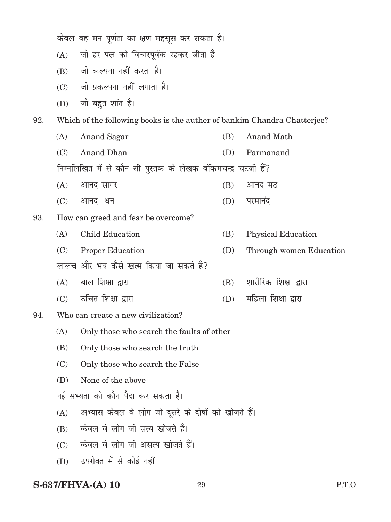केवल वह मन पूर्णता का क्षण महसूस कर सकता है।

- (A) जो हर पल को विचारपूर्वक रहकर जीता है।
- $(B)$  जो कल्पना नहीं करता है।
- $(C)$  जो प्रकल्पना नहीं लगाता है।
- $(D)$  जो बहुत शांत है।

92. Which of the following books is the auther of bankim Chandra Chatterjee?

- (A) Anand Sagar (B) Anand Math (C) Anand Dhan (D) Parmanand निम्नलिखित में से कौन सी पुस्तक के लेखक बंकिमचन्द्र चटर्जी हैं?  $(A)$  आनंद सागर (B) आनंद मठ
- $(C)$  आनंद धन and  $(D)$  परमानंद
- 93. How can greed and fear be overcome?
	- (A) child Education (B) Physical Education
	- (C) Proper Education (D) Through women Education
	- लालच और भय कैसे खत्म किया जा सकते हैं?
	- $(A)$  बाल शिक्षा द्वारा (B) शारीरिक शिक्षा द्वारा
	- $(C)$  उचित शिक्षा द्वारा and the control  $(D)$  महिला शिक्षा द्वारा
- 94. Who can create a new civilization?
	- (A) Only those who search the faults of other
	- (B) Only those who search the truth
	- (C) Only those who search the False
	- (D) None of the above
	- नई सभ्यता को कौन पैदा कर सकता है।
	- (A) अभ्यास केवल वे लोग जो दूसरे के दोषों को खोजते हैं।
	- (B) केवल वे लोग जो सत्य खोजते हैं।
	- $(C)$  केवल वे लोग जो असत्य खोजते हैं।
	- (D) उपरोक्त में से कोई नहीं

#### **S-637/FHVA-(A) 10** 29 P.T.O.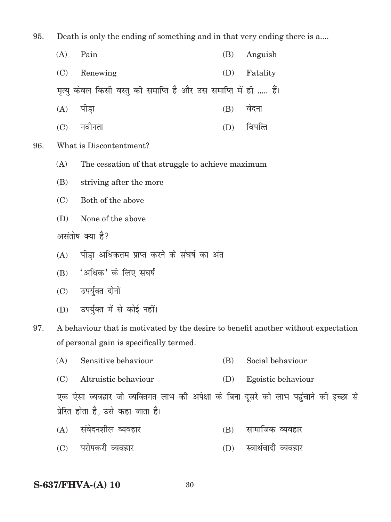95. Death is only the ending of something and in that very ending there is a....

| $(A)$ Pain   | (B) Anguish  |
|--------------|--------------|
| (C) Renewing | (D) Fatality |

मृत्यु केवल किसी वस्तु की समाप्ति है और उस समाप्ति में ही ..... हैं।

- (A) पीड़ा (B) वेदना
- (C) uohurk (D) foifRr
- 96. What is Discontentment?
	- (A) The cessation of that struggle to achieve maximum
	- (B) striving after the more
	- (C) Both of the above
	- (D) None of the above

असंतोष क्या है?

- $(A)$  पीडा अधिकतम प्राप्त करने के संघर्ष का अंत
- $(B)$  'अधिक' के लिए संघर्ष
- (C) उपर्युक्त दोनों
- (D) उपर्युक्त में से कोई नहीं।
- 97. A behaviour that is motivated by the desire to benefit another without expectation of personal gain is specifically termed.
	- (A) Sensitive behaviour (B) Social behaviour
	- (C) Altruistic behaviour (D) Egoistic behaviour

एक ऐसा व्यवहार जो व्यक्तिगत लाभ की अपेक्षा के बिना दूसरे को लाभ पहुंचाने की इच्छा से प्रेरित होता है, उसे कहा जाता है।

- $(A)$  संवेदनशील व्यवहार  $(B)$  सामाजिक व्यवहार
- (C) परोपकरी व्यवहार (D) स्वार्थवादी व्यवहार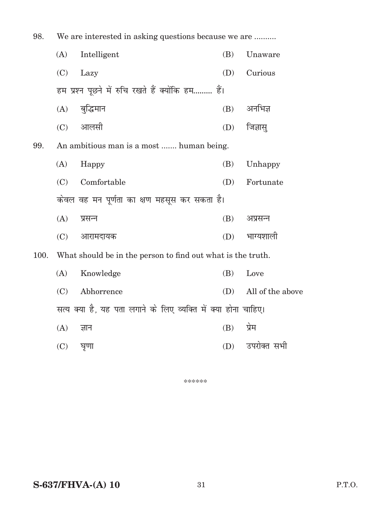| 98.  | We are interested in asking questions because we are           |             |     |                  |
|------|----------------------------------------------------------------|-------------|-----|------------------|
|      | (A)                                                            | Intelligent | (B) | Unaware          |
|      | (C)                                                            | Lazy        | (D) | Curious          |
|      | हम प्रश्न पूछने में रुचि रखते हैं क्योंकि हम हैं।              |             |     |                  |
|      | (A)                                                            | बुद्धिमान   | (B) | अनभिज्ञ          |
|      | (C)                                                            | आलसी        | (D) | जिज्ञासु         |
| 99.  | An ambitious man is a most  human being.                       |             |     |                  |
|      | (A)                                                            | Happy       | (B) | Unhappy          |
|      | (C)                                                            | Comfortable | (D) | Fortunate        |
|      | केवल वह मन पूर्णता का क्षण महसूस कर सकता है।                   |             |     |                  |
|      | (A)                                                            | प्रसन्न     | (B) | अप्रसन्न         |
|      | (C)                                                            | आरामदायक    | (D) | भाग्यशाली        |
| 100. | What should be in the person to find out what is the truth.    |             |     |                  |
|      | (A)                                                            | Knowledge   | (B) | Love             |
|      | (C)                                                            | Abhorrence  | (D) | All of the above |
|      | सत्य क्या है, यह पता लगाने के लिए व्यक्ति में क्या होना चाहिए। |             |     |                  |
|      | (A)                                                            | ज्ञान       | (B) | प्रेम            |
|      | (C)                                                            | घृणा        | (D) | उपरोक्त सभी      |

\*\*\*\*\*\*

**S-637/FHVA-(A) 10** 

 $31\,$